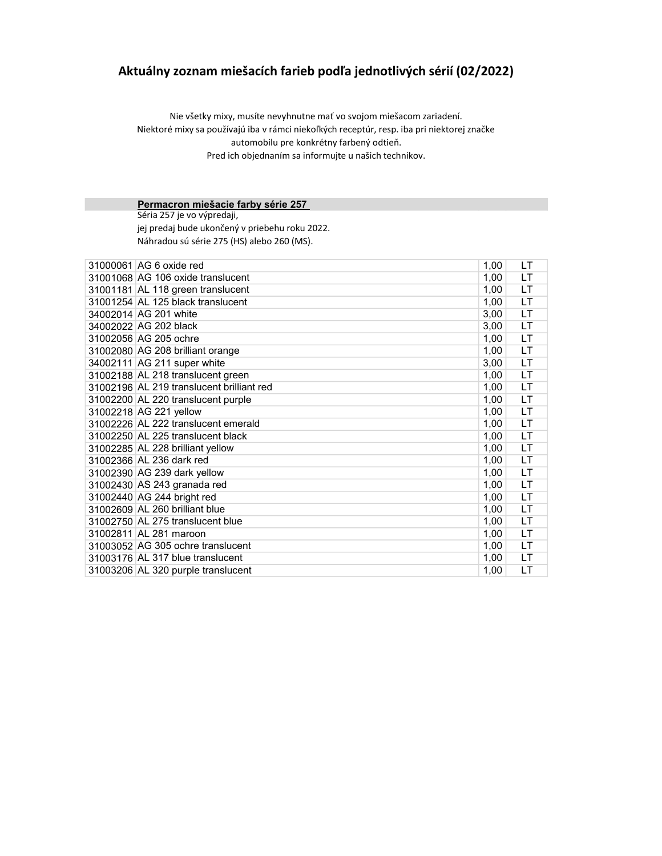## Aktuálny zoznam miešacích farieb podľa jednotlivých sérií (02/2022)

Nie všetky mixy, musíte nevyhnutne mať vo svojom miešacom zariadení. Niektoré mixy sa používajú iba v rámci niekoľkých receptúr, resp. iba pri niektorej značke automobilu pre konkrétny farbený odtieň. Pred ich objednaním sa informujte u našich technikov.

#### Permacron miešacie farby série 257

Séria 257 je vo výpredaji, jej predaj bude ukončený v priebehu roku 2022. Náhradou sú série 275 (HS) alebo 260 (MS).

| 31000061 AG 6 oxide red                   | 1,00 | LT        |
|-------------------------------------------|------|-----------|
| 31001068 AG 106 oxide translucent         | 1,00 | LT        |
| 31001181 AL 118 green translucent         | 1,00 | LT        |
| 31001254 AL 125 black translucent         | 1,00 | LT        |
| 34002014 AG 201 white                     | 3,00 | LT        |
| 34002022 AG 202 black                     | 3,00 | LT.       |
| 31002056 AG 205 ochre                     | 1,00 | LT        |
| 31002080 AG 208 brilliant orange          | 1,00 | LT        |
| 34002111 AG 211 super white               | 3,00 | LT        |
| 31002188 AL 218 translucent green         | 1,00 | LT        |
| 31002196 AL 219 translucent brilliant red | 1,00 | LT        |
| 31002200 AL 220 translucent purple        | 1,00 | <b>LT</b> |
| 31002218 AG 221 yellow                    | 1,00 | <b>LT</b> |
| 31002226 AL 222 translucent emerald       | 1,00 | LT        |
| 31002250 AL 225 translucent black         | 1,00 | LT        |
| 31002285 AL 228 brilliant yellow          | 1,00 | LT        |
| 31002366 AL 236 dark red                  | 1,00 | LT        |
| 31002390 AG 239 dark yellow               | 1,00 | LT        |
| 31002430 AS 243 granada red               | 1,00 | LT        |
| 31002440 AG 244 bright red                | 1,00 | LT        |
| 31002609 AL 260 brilliant blue            | 1,00 | LT        |
| 31002750 AL 275 translucent blue          | 1,00 | LT        |
| 31002811 AL 281 maroon                    | 1,00 | LT        |
| 31003052 AG 305 ochre translucent         | 1,00 | <b>LT</b> |
| 31003176 AL 317 blue translucent          | 1,00 | LT        |
| 31003206 AL 320 purple translucent        | 1,00 | LT        |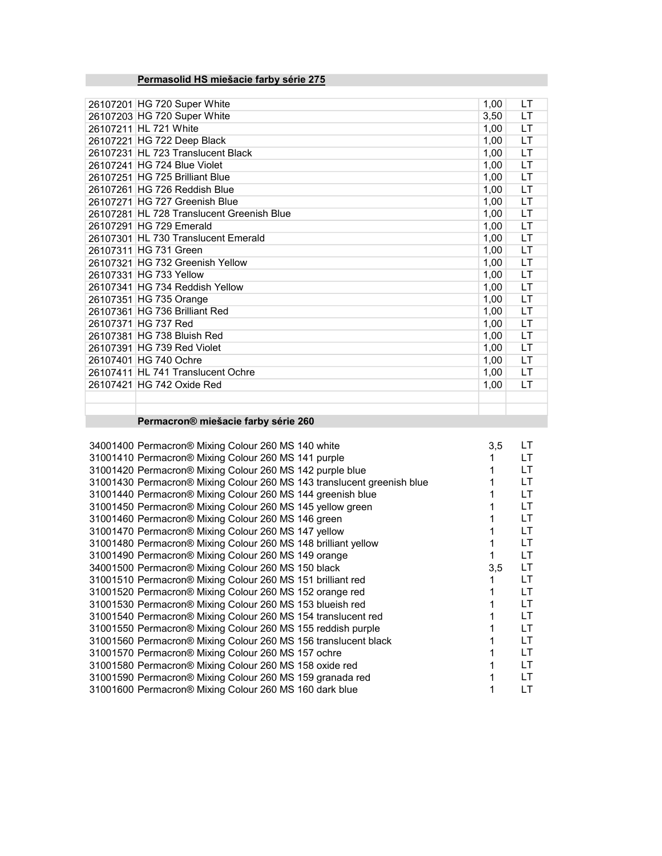# Permasolid HS miešacie farby série 275

| 26107201 HG 720 Super White               | 1,00 | LT        |
|-------------------------------------------|------|-----------|
| 26107203 HG 720 Super White               | 3,50 | LT        |
| 26107211 HL 721 White                     | 1,00 | LT        |
| 26107221 HG 722 Deep Black                | 1,00 | LT        |
| 26107231 HL 723 Translucent Black         | 1,00 | LT        |
| 26107241 HG 724 Blue Violet               | 1,00 | LT        |
| 26107251 HG 725 Brilliant Blue            | 1,00 | LT        |
| 26107261 HG 726 Reddish Blue              | 1,00 | LT        |
| 26107271 HG 727 Greenish Blue             | 1,00 | LT        |
| 26107281 HL 728 Translucent Greenish Blue | 1,00 | LT        |
| 26107291 HG 729 Emerald                   | 1,00 | LT        |
| 26107301 HL 730 Translucent Emerald       | 1,00 | LT        |
| 26107311 HG 731 Green                     | 1,00 | LT        |
| 26107321 HG 732 Greenish Yellow           | 1,00 | LT        |
| 26107331 HG 733 Yellow                    | 1,00 | LT        |
| 26107341 HG 734 Reddish Yellow            | 1,00 | LT        |
| 26107351 HG 735 Orange                    | 1,00 | LT        |
| 26107361 HG 736 Brilliant Red             | 1,00 | <b>LT</b> |
| 26107371 HG 737 Red                       | 1,00 | LT        |
| 26107381 HG 738 Bluish Red                | 1,00 | LT        |
| 26107391 HG 739 Red Violet                | 1,00 | LT        |
| 26107401 HG 740 Ochre                     | 1,00 | LT        |
| 26107411 HL 741 Translucent Ochre         | 1,00 | LT        |
| 26107421 HG 742 Oxide Red                 | 1,00 | LT        |
|                                           |      |           |
|                                           |      |           |

### Permacron® miešacie farby série 260

| 34001400 Permacron® Mixing Colour 260 MS 140 white                     | 3,5 | LT |
|------------------------------------------------------------------------|-----|----|
| 31001410 Permacron® Mixing Colour 260 MS 141 purple                    |     | LT |
| 31001420 Permacron® Mixing Colour 260 MS 142 purple blue               |     | LT |
| 31001430 Permacron® Mixing Colour 260 MS 143 translucent greenish blue |     | LТ |
| 31001440 Permacron® Mixing Colour 260 MS 144 greenish blue             |     | LТ |
| 31001450 Permacron® Mixing Colour 260 MS 145 yellow green              |     | LT |
| 31001460 Permacron® Mixing Colour 260 MS 146 green                     |     | LТ |
| 31001470 Permacron® Mixing Colour 260 MS 147 yellow                    |     | LT |
| 31001480 Permacron® Mixing Colour 260 MS 148 brilliant yellow          |     | LТ |
| 31001490 Permacron® Mixing Colour 260 MS 149 orange                    |     | LT |
| 34001500 Permacron® Mixing Colour 260 MS 150 black                     | 3,5 | LT |
| 31001510 Permacron® Mixing Colour 260 MS 151 brilliant red             |     | LT |
| 31001520 Permacron® Mixing Colour 260 MS 152 orange red                |     | LT |
| 31001530 Permacron® Mixing Colour 260 MS 153 blueish red               |     | LT |
| 31001540 Permacron® Mixing Colour 260 MS 154 translucent red           |     | LТ |
| 31001550 Permacron® Mixing Colour 260 MS 155 reddish purple            |     | LТ |
| 31001560 Permacron® Mixing Colour 260 MS 156 translucent black         |     | LT |
| 31001570 Permacron® Mixing Colour 260 MS 157 ochre                     |     | LТ |
| 31001580 Permacron® Mixing Colour 260 MS 158 oxide red                 |     | LT |
| 31001590 Permacron® Mixing Colour 260 MS 159 granada red               |     | LT |
| 31001600 Permacron® Mixing Colour 260 MS 160 dark blue                 |     | LT |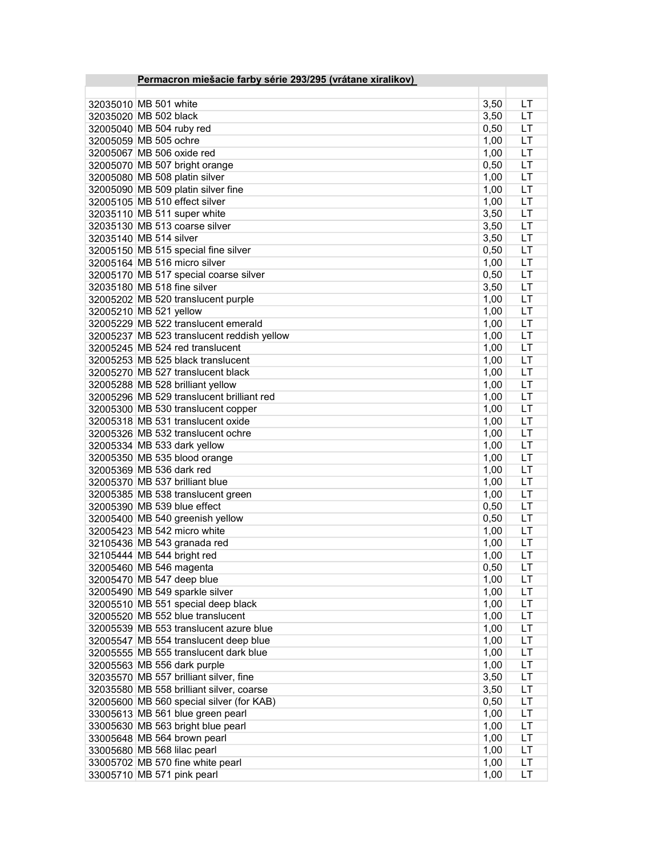| Permacron miešacie farby série 293/295 (vrátane xiralikov) |      |           |
|------------------------------------------------------------|------|-----------|
|                                                            |      |           |
| 32035010 MB 501 white                                      | 3,50 | LT        |
| 32035020 MB 502 black                                      | 3,50 | LT        |
| 32005040 MB 504 ruby red                                   | 0,50 | LT        |
| 32005059 MB 505 ochre                                      | 1,00 | LT        |
| 32005067 MB 506 oxide red                                  | 1,00 | LT        |
|                                                            |      | LT        |
| 32005070 MB 507 bright orange                              | 0,50 |           |
| 32005080 MB 508 platin silver                              | 1,00 | LT        |
| 32005090 MB 509 platin silver fine                         | 1,00 | LT        |
| 32005105 MB 510 effect silver                              | 1,00 | LT        |
| 32035110 MB 511 super white                                | 3,50 | LT        |
| 32035130 MB 513 coarse silver                              | 3,50 | LT        |
| 32035140 MB 514 silver                                     | 3,50 | LT        |
| 32005150 MB 515 special fine silver                        | 0,50 | LT        |
| 32005164 MB 516 micro silver                               | 1,00 | LT        |
| 32005170 MB 517 special coarse silver                      | 0,50 | LT        |
| 32035180 MB 518 fine silver                                | 3,50 | LT        |
| 32005202 MB 520 translucent purple                         | 1,00 | LT        |
| 32005210 MB 521 yellow                                     | 1,00 | LT        |
| 32005229 MB 522 translucent emerald                        | 1,00 | LT        |
| 32005237 MB 523 translucent reddish yellow                 | 1,00 | LT        |
| 32005245 MB 524 red translucent                            | 1,00 | LT        |
| 32005253 MB 525 black translucent                          | 1,00 | LT        |
| 32005270 MB 527 translucent black                          | 1,00 | LT        |
| 32005288 MB 528 brilliant yellow                           | 1,00 | LT        |
| 32005296 MB 529 translucent brilliant red                  | 1,00 | LT        |
| 32005300 MB 530 translucent copper                         | 1,00 | LT        |
| 32005318 MB 531 translucent oxide                          | 1,00 | LT        |
| 32005326 MB 532 translucent ochre                          | 1,00 | LT        |
| 32005334 MB 533 dark yellow                                | 1,00 | LT        |
| 32005350 MB 535 blood orange                               | 1,00 | LT        |
| 32005369 MB 536 dark red                                   | 1,00 | LT        |
| 32005370 MB 537 brilliant blue                             | 1,00 | LT        |
| 32005385 MB 538 translucent green                          | 1,00 | LT        |
| 32005390 MB 539 blue effect                                | 0,50 | LT        |
| 32005400 MB 540 greenish yellow                            | 0,50 | LT        |
| 32005423 MB 542 micro white                                | 1,00 | LT        |
|                                                            |      | LT        |
| 32105436 MB 543 granada red                                | 1,00 |           |
| 32105444 MB 544 bright red                                 | 1,00 | LT        |
| 32005460 MB 546 magenta                                    | 0,50 | LT        |
| 32005470 MB 547 deep blue                                  | 1,00 | LT        |
| 32005490 MB 549 sparkle silver                             | 1,00 | LT        |
| 32005510 MB 551 special deep black                         | 1,00 | LT        |
| 32005520 MB 552 blue translucent                           | 1,00 | <b>LT</b> |
| 32005539 MB 553 translucent azure blue                     | 1,00 | LT        |
| 32005547 MB 554 translucent deep blue                      | 1,00 | LT        |
| 32005555 MB 555 translucent dark blue                      | 1,00 | LT        |
| 32005563 MB 556 dark purple                                | 1,00 | LT        |
| 32035570 MB 557 brilliant silver, fine                     | 3,50 | LT        |
| 32035580 MB 558 brilliant silver, coarse                   | 3,50 | LT        |
| 32005600 MB 560 special silver (for KAB)                   | 0,50 | <b>LT</b> |
| 33005613 MB 561 blue green pearl                           | 1,00 | <b>LT</b> |
| 33005630 MB 563 bright blue pearl                          | 1,00 | <b>LT</b> |
| 33005648 MB 564 brown pearl                                | 1,00 | LT        |
| 33005680 MB 568 lilac pearl                                | 1,00 | LT        |
| 33005702 MB 570 fine white pearl                           | 1,00 | <b>LT</b> |
| 33005710 MB 571 pink pearl                                 | 1,00 | LT        |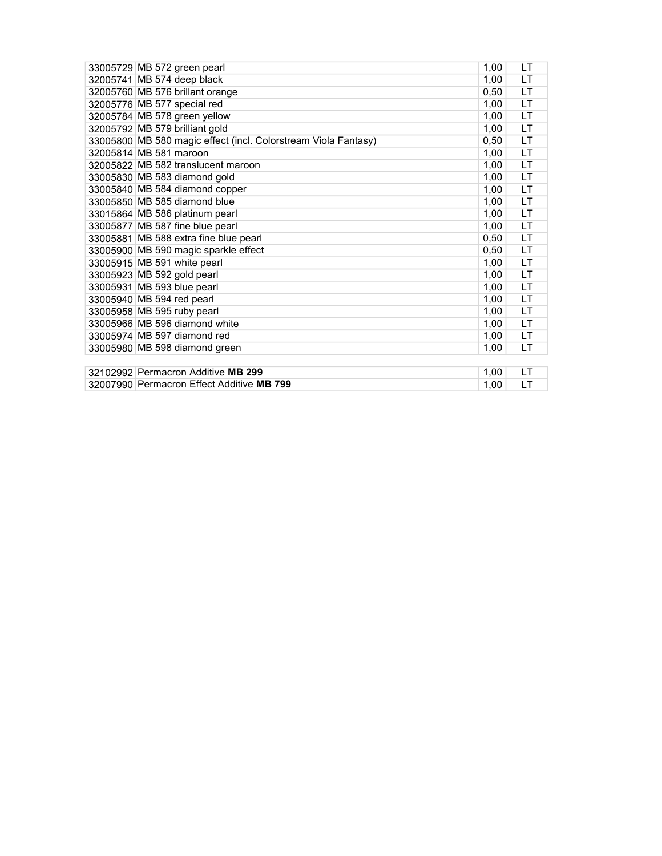| 33005729 MB 572 green pearl                                    | 1,00 | LT        |
|----------------------------------------------------------------|------|-----------|
| 32005741 MB 574 deep black                                     | 1,00 | <b>LT</b> |
| 32005760 MB 576 brillant orange                                | 0,50 | LT        |
| 32005776 MB 577 special red                                    | 1,00 | <b>LT</b> |
| 32005784 MB 578 green yellow                                   | 1,00 | LT.       |
| 32005792 MB 579 brilliant gold                                 | 1,00 | <b>LT</b> |
| 33005800 MB 580 magic effect (incl. Colorstream Viola Fantasy) | 0,50 | LT        |
| 32005814 MB 581 maroon                                         | 1,00 | LT.       |
| 32005822 MB 582 translucent maroon                             | 1,00 | LT.       |
| 33005830 MB 583 diamond gold                                   | 1,00 | LT.       |
| 33005840 MB 584 diamond copper                                 | 1,00 | LT        |
| 33005850 MB 585 diamond blue                                   | 1,00 | LT.       |
| 33015864 MB 586 platinum pearl                                 | 1,00 | LT.       |
| 33005877 MB 587 fine blue pearl                                | 1,00 | LT.       |
| 33005881 MB 588 extra fine blue pearl                          | 0,50 | LT.       |
| 33005900 MB 590 magic sparkle effect                           | 0,50 | LT.       |
| 33005915 MB 591 white pearl                                    | 1,00 | LT.       |
| 33005923 MB 592 gold pearl                                     | 1,00 | LT.       |
| 33005931 MB 593 blue pearl                                     | 1,00 | <b>LT</b> |
| 33005940 MB 594 red pearl                                      | 1,00 | LT.       |
| 33005958 MB 595 ruby pearl                                     | 1,00 | LT        |
| 33005966 MB 596 diamond white                                  | 1,00 | LT        |
| 33005974 MB 597 diamond red                                    | 1,00 | LT        |
| 33005980 MB 598 diamond green                                  | 1,00 | LT        |
|                                                                |      |           |
| 32102992 Permacron Additive MB 299                             | 1,00 | LT        |
| 32007990 Permacron Effect Additive MB 799                      | 1,00 | LT        |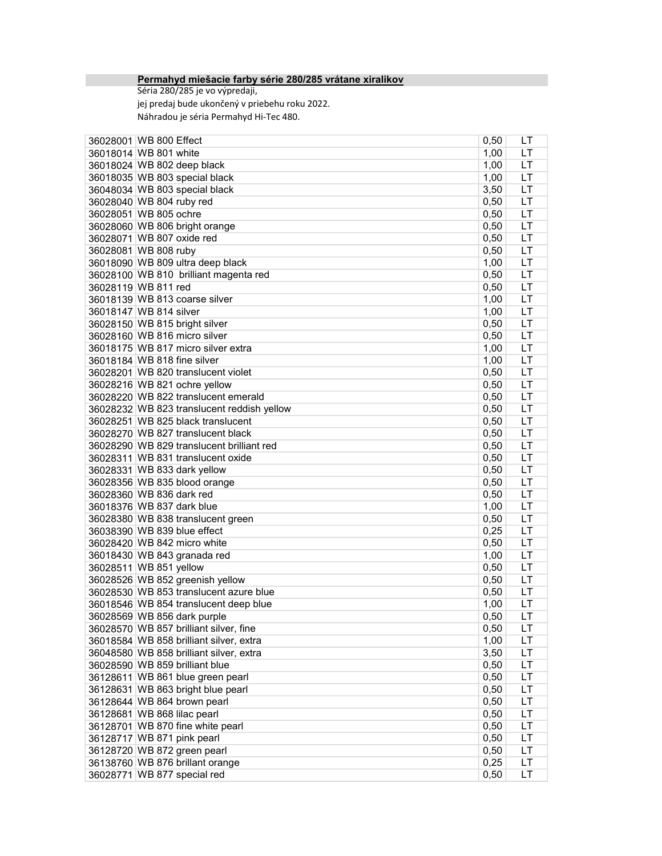#### Permahyd miešacie farby série 280/285 vrátane xiralikov

Séria 280/285 je vo výpredaji, jej predaj bude ukončený v priebehu roku 2022. Náhradou je séria Permahyd Hi-Tec 480.

| 36028001 WB 800 Effect                     | 0,50         | LT  |
|--------------------------------------------|--------------|-----|
| 36018014 WB 801 white                      | 1,00         | LT  |
| 36018024 WB 802 deep black                 | 1,00         | LT  |
| 36018035 WB 803 special black              | 1,00         | LT  |
| 36048034 WB 803 special black              | 3,50         | LT  |
| 36028040 WB 804 ruby red                   | 0,50         | LT  |
| 36028051 WB 805 ochre                      | 0,50         | LT  |
| 36028060 WB 806 bright orange              | 0,50         | LT  |
| 36028071 WB 807 oxide red                  | 0,50         | LT  |
| 36028081 WB 808 ruby                       | 0,50         | LT  |
| 36018090 WB 809 ultra deep black           | 1,00         | LT  |
| 36028100 WB 810 brilliant magenta red      | 0,50         | LT  |
| 36028119 WB 811 red                        | 0,50         | LT  |
| 36018139 WB 813 coarse silver              | 1,00         | LT  |
| 36018147 WB 814 silver                     | 1,00         | LT  |
| 36028150 WB 815 bright silver              | 0,50         | LT  |
| 36028160 WB 816 micro silver               | 0,50         | LT  |
| 36018175 WB 817 micro silver extra         | 1,00         | LT  |
| 36018184 WB 818 fine silver                | 1,00         | LT  |
| 36028201 WB 820 translucent violet         | 0,50         | LT  |
| 36028216 WB 821 ochre yellow               | 0,50         | LT  |
| 36028220 WB 822 translucent emerald        | 0,50         | LT  |
| 36028232 WB 823 translucent reddish yellow | 0,50         | LT  |
| 36028251 WB 825 black translucent          | 0,50         | LT  |
| 36028270 WB 827 translucent black          | 0,50         | LT  |
| 36028290 WB 829 translucent brilliant red  |              | LT  |
| 36028311 WB 831 translucent oxide          | 0,50<br>0,50 | LT  |
| 36028331 WB 833 dark yellow                | 0,50         | LT  |
| 36028356 WB 835 blood orange               | 0,50         | LT  |
| 36028360 WB 836 dark red                   | 0,50         | LT  |
| 36018376 WB 837 dark blue                  | 1,00         | LT  |
| 36028380 WB 838 translucent green          | 0,50         | LT  |
| 36038390 WB 839 blue effect                |              | LT  |
| 36028420 WB 842 micro white                | 0,25         | LT  |
|                                            | 0,50         |     |
| 36018430 WB 843 granada red                | 1,00         | LT  |
| 36028511 WB 851 yellow                     | 0,50         | LT  |
| 36028526 WB 852 greenish yellow            | 0,50         | LT  |
| 36028530 WB 853 translucent azure blue     | 0,50         | LT  |
| 36018546 WB 854 translucent deep blue      | 1,00         | LT  |
| 36028569 WB 856 dark purple                | 0,50         | LT  |
| 36028570 WB 857 brilliant silver, fine     | 0,50         | LТ  |
| 36018584 WB 858 brilliant silver, extra    | 1,00         | LT  |
| 36048580 WB 858 brilliant silver, extra    | 3,50         | LT. |
| 36028590 WB 859 brilliant blue             | 0,50         | LT  |
| 36128611 WB 861 blue green pearl           | 0,50         | LT  |
| 36128631 WB 863 bright blue pearl          | 0,50         | LT  |
| 36128644 WB 864 brown pearl                | 0,50         | LT  |
| 36128681 WB 868 lilac pearl                | 0,50         | LT  |
| 36128701 WB 870 fine white pearl           | 0,50         | LT  |
| 36128717 WB 871 pink pearl                 | 0,50         | LT  |
| 36128720 WB 872 green pearl                | 0,50         | LT  |
| 36138760 WB 876 brillant orange            | 0,25         | LT  |
| 36028771 WB 877 special red                | 0,50         | LT  |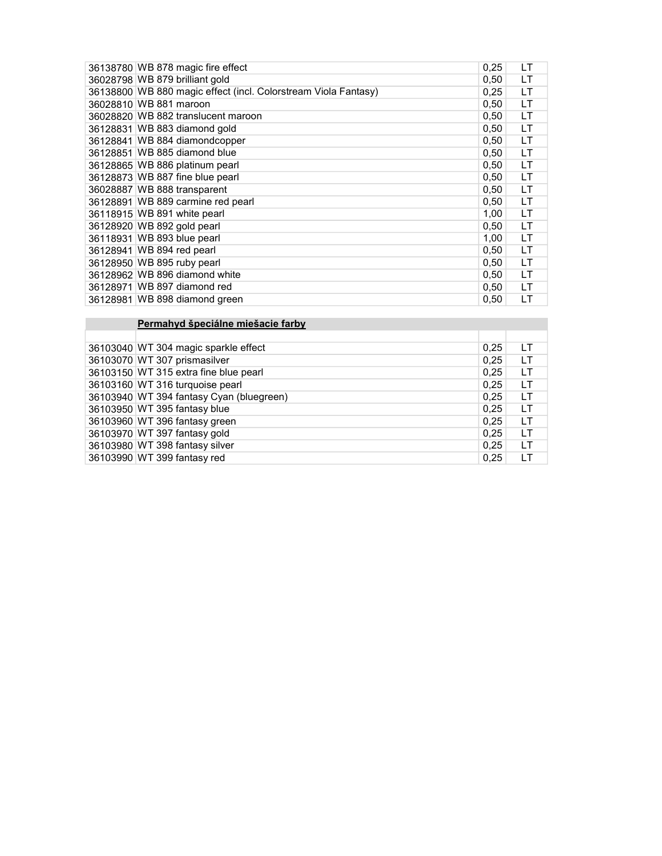| 36138780 WB 878 magic fire effect                              | 0,25 | LT |
|----------------------------------------------------------------|------|----|
| 36028798 WB 879 brilliant gold                                 | 0,50 | LT |
| 36138800 WB 880 magic effect (incl. Colorstream Viola Fantasy) | 0,25 | LT |
| 36028810 WB 881 maroon                                         | 0,50 | LT |
| 36028820 WB 882 translucent maroon                             | 0,50 | LT |
| 36128831 WB 883 diamond gold                                   | 0,50 | LT |
| 36128841 WB 884 diamondcopper                                  | 0,50 | LT |
| 36128851 WB 885 diamond blue                                   | 0,50 | LT |
| 36128865 WB 886 platinum pearl                                 | 0,50 | LT |
| 36128873 WB 887 fine blue pearl                                | 0,50 | LT |
| 36028887 WB 888 transparent                                    | 0,50 | LT |
| 36128891 WB 889 carmine red pearl                              | 0,50 | LT |
| 36118915 WB 891 white pearl                                    | 1,00 | LT |
| 36128920 WB 892 gold pearl                                     | 0,50 | LT |
| 36118931 WB 893 blue pearl                                     | 1,00 | LT |
| 36128941 WB 894 red pearl                                      | 0,50 | LT |
| 36128950 WB 895 ruby pearl                                     | 0,50 | LT |
| 36128962 WB 896 diamond white                                  | 0,50 | LT |
| 36128971 WB 897 diamond red                                    | 0,50 | LT |
| 36128981 WB 898 diamond green                                  | 0.50 | LT |

### **Permahyd špeciálne miešacie farby**

| 36103040 WT 304 magic sparkle effect     | 0,25 | LT |
|------------------------------------------|------|----|
| 36103070 WT 307 prismasilver             | 0,25 | LТ |
| 36103150 WT 315 extra fine blue pearl    | 0,25 | LТ |
| 36103160 WT 316 turquoise pearl          | 0.25 | LТ |
| 36103940 WT 394 fantasy Cyan (bluegreen) | 0,25 | LT |
| 36103950 WT 395 fantasy blue             | 0,25 | LТ |
| 36103960 WT 396 fantasy green            | 0,25 | LТ |
| 36103970 WT 397 fantasy gold             | 0,25 | LT |
| 36103980 WT 398 fantasy silver           | 0,25 | LТ |
| 36103990 WT 399 fantasy red              | 0,25 | LT |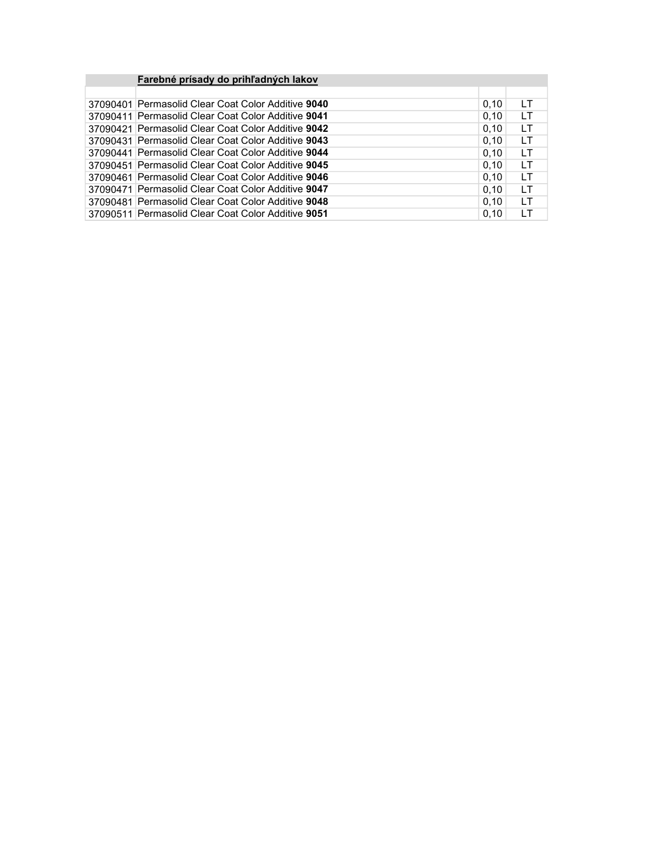| Farebné prísady do prihľadných lakov               |      |     |
|----------------------------------------------------|------|-----|
|                                                    |      |     |
| 37090401 Permasolid Clear Coat Color Additive 9040 | 0,10 | LТ  |
| 37090411 Permasolid Clear Coat Color Additive 9041 | 0.10 | LΤ  |
| 37090421 Permasolid Clear Coat Color Additive 9042 | 0,10 | LT  |
| 37090431 Permasolid Clear Coat Color Additive 9043 | 0,10 | LТ  |
| 37090441 Permasolid Clear Coat Color Additive 9044 | 0,10 | LΤ  |
| 37090451 Permasolid Clear Coat Color Additive 9045 | 0,10 | LΤ  |
| 37090461 Permasolid Clear Coat Color Additive 9046 | 0.10 | LТ  |
| 37090471 Permasolid Clear Coat Color Additive 9047 | 0.10 | LТ  |
| 37090481 Permasolid Clear Coat Color Additive 9048 | 0.10 | LT  |
| 37090511 Permasolid Clear Coat Color Additive 9051 | 0,10 | l T |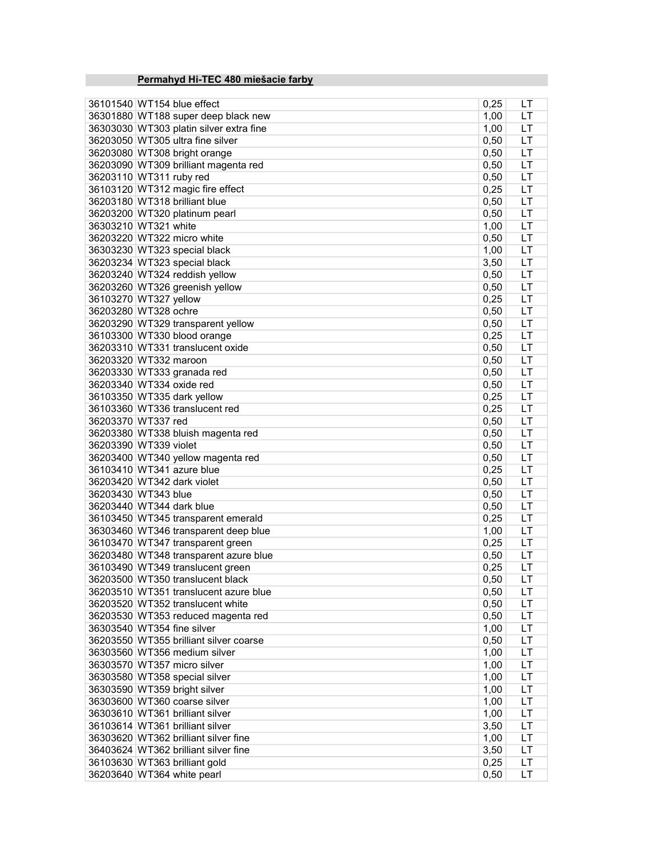# Permahyd Hi-TEC 480 miešacie farby

| 36101540 WT154 blue effect           | 0,25                                                                                                                                                                                                                                                                                                                                                                                                                                                                                                                                                                                                                                                                                                                                                                                                                                                                                                                                                                                                                                                                                                                                                                                                                                                                                                                                                                                                                                                                                                      | LT                                                                                                                                                                                                                                                                                                                                                   |
|--------------------------------------|-----------------------------------------------------------------------------------------------------------------------------------------------------------------------------------------------------------------------------------------------------------------------------------------------------------------------------------------------------------------------------------------------------------------------------------------------------------------------------------------------------------------------------------------------------------------------------------------------------------------------------------------------------------------------------------------------------------------------------------------------------------------------------------------------------------------------------------------------------------------------------------------------------------------------------------------------------------------------------------------------------------------------------------------------------------------------------------------------------------------------------------------------------------------------------------------------------------------------------------------------------------------------------------------------------------------------------------------------------------------------------------------------------------------------------------------------------------------------------------------------------------|------------------------------------------------------------------------------------------------------------------------------------------------------------------------------------------------------------------------------------------------------------------------------------------------------------------------------------------------------|
|                                      |                                                                                                                                                                                                                                                                                                                                                                                                                                                                                                                                                                                                                                                                                                                                                                                                                                                                                                                                                                                                                                                                                                                                                                                                                                                                                                                                                                                                                                                                                                           | LT                                                                                                                                                                                                                                                                                                                                                   |
|                                      |                                                                                                                                                                                                                                                                                                                                                                                                                                                                                                                                                                                                                                                                                                                                                                                                                                                                                                                                                                                                                                                                                                                                                                                                                                                                                                                                                                                                                                                                                                           | LT                                                                                                                                                                                                                                                                                                                                                   |
|                                      |                                                                                                                                                                                                                                                                                                                                                                                                                                                                                                                                                                                                                                                                                                                                                                                                                                                                                                                                                                                                                                                                                                                                                                                                                                                                                                                                                                                                                                                                                                           | LT                                                                                                                                                                                                                                                                                                                                                   |
|                                      |                                                                                                                                                                                                                                                                                                                                                                                                                                                                                                                                                                                                                                                                                                                                                                                                                                                                                                                                                                                                                                                                                                                                                                                                                                                                                                                                                                                                                                                                                                           | LT                                                                                                                                                                                                                                                                                                                                                   |
|                                      |                                                                                                                                                                                                                                                                                                                                                                                                                                                                                                                                                                                                                                                                                                                                                                                                                                                                                                                                                                                                                                                                                                                                                                                                                                                                                                                                                                                                                                                                                                           | LT                                                                                                                                                                                                                                                                                                                                                   |
|                                      |                                                                                                                                                                                                                                                                                                                                                                                                                                                                                                                                                                                                                                                                                                                                                                                                                                                                                                                                                                                                                                                                                                                                                                                                                                                                                                                                                                                                                                                                                                           | LT                                                                                                                                                                                                                                                                                                                                                   |
|                                      |                                                                                                                                                                                                                                                                                                                                                                                                                                                                                                                                                                                                                                                                                                                                                                                                                                                                                                                                                                                                                                                                                                                                                                                                                                                                                                                                                                                                                                                                                                           | LT                                                                                                                                                                                                                                                                                                                                                   |
|                                      |                                                                                                                                                                                                                                                                                                                                                                                                                                                                                                                                                                                                                                                                                                                                                                                                                                                                                                                                                                                                                                                                                                                                                                                                                                                                                                                                                                                                                                                                                                           | LT                                                                                                                                                                                                                                                                                                                                                   |
|                                      |                                                                                                                                                                                                                                                                                                                                                                                                                                                                                                                                                                                                                                                                                                                                                                                                                                                                                                                                                                                                                                                                                                                                                                                                                                                                                                                                                                                                                                                                                                           | LT                                                                                                                                                                                                                                                                                                                                                   |
|                                      |                                                                                                                                                                                                                                                                                                                                                                                                                                                                                                                                                                                                                                                                                                                                                                                                                                                                                                                                                                                                                                                                                                                                                                                                                                                                                                                                                                                                                                                                                                           | LT                                                                                                                                                                                                                                                                                                                                                   |
|                                      |                                                                                                                                                                                                                                                                                                                                                                                                                                                                                                                                                                                                                                                                                                                                                                                                                                                                                                                                                                                                                                                                                                                                                                                                                                                                                                                                                                                                                                                                                                           |                                                                                                                                                                                                                                                                                                                                                      |
|                                      |                                                                                                                                                                                                                                                                                                                                                                                                                                                                                                                                                                                                                                                                                                                                                                                                                                                                                                                                                                                                                                                                                                                                                                                                                                                                                                                                                                                                                                                                                                           | LT                                                                                                                                                                                                                                                                                                                                                   |
|                                      |                                                                                                                                                                                                                                                                                                                                                                                                                                                                                                                                                                                                                                                                                                                                                                                                                                                                                                                                                                                                                                                                                                                                                                                                                                                                                                                                                                                                                                                                                                           | LT                                                                                                                                                                                                                                                                                                                                                   |
|                                      |                                                                                                                                                                                                                                                                                                                                                                                                                                                                                                                                                                                                                                                                                                                                                                                                                                                                                                                                                                                                                                                                                                                                                                                                                                                                                                                                                                                                                                                                                                           | LT                                                                                                                                                                                                                                                                                                                                                   |
|                                      |                                                                                                                                                                                                                                                                                                                                                                                                                                                                                                                                                                                                                                                                                                                                                                                                                                                                                                                                                                                                                                                                                                                                                                                                                                                                                                                                                                                                                                                                                                           | LT                                                                                                                                                                                                                                                                                                                                                   |
|                                      |                                                                                                                                                                                                                                                                                                                                                                                                                                                                                                                                                                                                                                                                                                                                                                                                                                                                                                                                                                                                                                                                                                                                                                                                                                                                                                                                                                                                                                                                                                           | LT                                                                                                                                                                                                                                                                                                                                                   |
|                                      |                                                                                                                                                                                                                                                                                                                                                                                                                                                                                                                                                                                                                                                                                                                                                                                                                                                                                                                                                                                                                                                                                                                                                                                                                                                                                                                                                                                                                                                                                                           | LT                                                                                                                                                                                                                                                                                                                                                   |
|                                      |                                                                                                                                                                                                                                                                                                                                                                                                                                                                                                                                                                                                                                                                                                                                                                                                                                                                                                                                                                                                                                                                                                                                                                                                                                                                                                                                                                                                                                                                                                           | LT                                                                                                                                                                                                                                                                                                                                                   |
|                                      |                                                                                                                                                                                                                                                                                                                                                                                                                                                                                                                                                                                                                                                                                                                                                                                                                                                                                                                                                                                                                                                                                                                                                                                                                                                                                                                                                                                                                                                                                                           | LT                                                                                                                                                                                                                                                                                                                                                   |
| 36103300 WT330 blood orange          |                                                                                                                                                                                                                                                                                                                                                                                                                                                                                                                                                                                                                                                                                                                                                                                                                                                                                                                                                                                                                                                                                                                                                                                                                                                                                                                                                                                                                                                                                                           | LT                                                                                                                                                                                                                                                                                                                                                   |
| 36203310 WT331 translucent oxide     | 0,50                                                                                                                                                                                                                                                                                                                                                                                                                                                                                                                                                                                                                                                                                                                                                                                                                                                                                                                                                                                                                                                                                                                                                                                                                                                                                                                                                                                                                                                                                                      | LT                                                                                                                                                                                                                                                                                                                                                   |
|                                      | 0,50                                                                                                                                                                                                                                                                                                                                                                                                                                                                                                                                                                                                                                                                                                                                                                                                                                                                                                                                                                                                                                                                                                                                                                                                                                                                                                                                                                                                                                                                                                      | LT                                                                                                                                                                                                                                                                                                                                                   |
| 36203330 WT333 granada red           | 0,50                                                                                                                                                                                                                                                                                                                                                                                                                                                                                                                                                                                                                                                                                                                                                                                                                                                                                                                                                                                                                                                                                                                                                                                                                                                                                                                                                                                                                                                                                                      | LT                                                                                                                                                                                                                                                                                                                                                   |
| 36203340 WT334 oxide red             | 0,50                                                                                                                                                                                                                                                                                                                                                                                                                                                                                                                                                                                                                                                                                                                                                                                                                                                                                                                                                                                                                                                                                                                                                                                                                                                                                                                                                                                                                                                                                                      | LT                                                                                                                                                                                                                                                                                                                                                   |
|                                      |                                                                                                                                                                                                                                                                                                                                                                                                                                                                                                                                                                                                                                                                                                                                                                                                                                                                                                                                                                                                                                                                                                                                                                                                                                                                                                                                                                                                                                                                                                           | LT                                                                                                                                                                                                                                                                                                                                                   |
|                                      |                                                                                                                                                                                                                                                                                                                                                                                                                                                                                                                                                                                                                                                                                                                                                                                                                                                                                                                                                                                                                                                                                                                                                                                                                                                                                                                                                                                                                                                                                                           | LT                                                                                                                                                                                                                                                                                                                                                   |
|                                      |                                                                                                                                                                                                                                                                                                                                                                                                                                                                                                                                                                                                                                                                                                                                                                                                                                                                                                                                                                                                                                                                                                                                                                                                                                                                                                                                                                                                                                                                                                           | LT                                                                                                                                                                                                                                                                                                                                                   |
|                                      |                                                                                                                                                                                                                                                                                                                                                                                                                                                                                                                                                                                                                                                                                                                                                                                                                                                                                                                                                                                                                                                                                                                                                                                                                                                                                                                                                                                                                                                                                                           | LT                                                                                                                                                                                                                                                                                                                                                   |
|                                      |                                                                                                                                                                                                                                                                                                                                                                                                                                                                                                                                                                                                                                                                                                                                                                                                                                                                                                                                                                                                                                                                                                                                                                                                                                                                                                                                                                                                                                                                                                           | LT                                                                                                                                                                                                                                                                                                                                                   |
|                                      |                                                                                                                                                                                                                                                                                                                                                                                                                                                                                                                                                                                                                                                                                                                                                                                                                                                                                                                                                                                                                                                                                                                                                                                                                                                                                                                                                                                                                                                                                                           | LT                                                                                                                                                                                                                                                                                                                                                   |
|                                      |                                                                                                                                                                                                                                                                                                                                                                                                                                                                                                                                                                                                                                                                                                                                                                                                                                                                                                                                                                                                                                                                                                                                                                                                                                                                                                                                                                                                                                                                                                           | LT                                                                                                                                                                                                                                                                                                                                                   |
|                                      |                                                                                                                                                                                                                                                                                                                                                                                                                                                                                                                                                                                                                                                                                                                                                                                                                                                                                                                                                                                                                                                                                                                                                                                                                                                                                                                                                                                                                                                                                                           | LT                                                                                                                                                                                                                                                                                                                                                   |
|                                      |                                                                                                                                                                                                                                                                                                                                                                                                                                                                                                                                                                                                                                                                                                                                                                                                                                                                                                                                                                                                                                                                                                                                                                                                                                                                                                                                                                                                                                                                                                           | LT                                                                                                                                                                                                                                                                                                                                                   |
|                                      |                                                                                                                                                                                                                                                                                                                                                                                                                                                                                                                                                                                                                                                                                                                                                                                                                                                                                                                                                                                                                                                                                                                                                                                                                                                                                                                                                                                                                                                                                                           | LT                                                                                                                                                                                                                                                                                                                                                   |
|                                      |                                                                                                                                                                                                                                                                                                                                                                                                                                                                                                                                                                                                                                                                                                                                                                                                                                                                                                                                                                                                                                                                                                                                                                                                                                                                                                                                                                                                                                                                                                           | LT                                                                                                                                                                                                                                                                                                                                                   |
|                                      |                                                                                                                                                                                                                                                                                                                                                                                                                                                                                                                                                                                                                                                                                                                                                                                                                                                                                                                                                                                                                                                                                                                                                                                                                                                                                                                                                                                                                                                                                                           | LT                                                                                                                                                                                                                                                                                                                                                   |
|                                      |                                                                                                                                                                                                                                                                                                                                                                                                                                                                                                                                                                                                                                                                                                                                                                                                                                                                                                                                                                                                                                                                                                                                                                                                                                                                                                                                                                                                                                                                                                           | LT                                                                                                                                                                                                                                                                                                                                                   |
|                                      |                                                                                                                                                                                                                                                                                                                                                                                                                                                                                                                                                                                                                                                                                                                                                                                                                                                                                                                                                                                                                                                                                                                                                                                                                                                                                                                                                                                                                                                                                                           |                                                                                                                                                                                                                                                                                                                                                      |
|                                      |                                                                                                                                                                                                                                                                                                                                                                                                                                                                                                                                                                                                                                                                                                                                                                                                                                                                                                                                                                                                                                                                                                                                                                                                                                                                                                                                                                                                                                                                                                           | LT                                                                                                                                                                                                                                                                                                                                                   |
|                                      |                                                                                                                                                                                                                                                                                                                                                                                                                                                                                                                                                                                                                                                                                                                                                                                                                                                                                                                                                                                                                                                                                                                                                                                                                                                                                                                                                                                                                                                                                                           | LT                                                                                                                                                                                                                                                                                                                                                   |
|                                      |                                                                                                                                                                                                                                                                                                                                                                                                                                                                                                                                                                                                                                                                                                                                                                                                                                                                                                                                                                                                                                                                                                                                                                                                                                                                                                                                                                                                                                                                                                           | <b>LT</b>                                                                                                                                                                                                                                                                                                                                            |
|                                      |                                                                                                                                                                                                                                                                                                                                                                                                                                                                                                                                                                                                                                                                                                                                                                                                                                                                                                                                                                                                                                                                                                                                                                                                                                                                                                                                                                                                                                                                                                           | LT                                                                                                                                                                                                                                                                                                                                                   |
|                                      |                                                                                                                                                                                                                                                                                                                                                                                                                                                                                                                                                                                                                                                                                                                                                                                                                                                                                                                                                                                                                                                                                                                                                                                                                                                                                                                                                                                                                                                                                                           | LT                                                                                                                                                                                                                                                                                                                                                   |
|                                      |                                                                                                                                                                                                                                                                                                                                                                                                                                                                                                                                                                                                                                                                                                                                                                                                                                                                                                                                                                                                                                                                                                                                                                                                                                                                                                                                                                                                                                                                                                           | LT                                                                                                                                                                                                                                                                                                                                                   |
|                                      |                                                                                                                                                                                                                                                                                                                                                                                                                                                                                                                                                                                                                                                                                                                                                                                                                                                                                                                                                                                                                                                                                                                                                                                                                                                                                                                                                                                                                                                                                                           | LT                                                                                                                                                                                                                                                                                                                                                   |
|                                      |                                                                                                                                                                                                                                                                                                                                                                                                                                                                                                                                                                                                                                                                                                                                                                                                                                                                                                                                                                                                                                                                                                                                                                                                                                                                                                                                                                                                                                                                                                           | LT                                                                                                                                                                                                                                                                                                                                                   |
|                                      |                                                                                                                                                                                                                                                                                                                                                                                                                                                                                                                                                                                                                                                                                                                                                                                                                                                                                                                                                                                                                                                                                                                                                                                                                                                                                                                                                                                                                                                                                                           | LT                                                                                                                                                                                                                                                                                                                                                   |
|                                      | 1,00                                                                                                                                                                                                                                                                                                                                                                                                                                                                                                                                                                                                                                                                                                                                                                                                                                                                                                                                                                                                                                                                                                                                                                                                                                                                                                                                                                                                                                                                                                      | LT                                                                                                                                                                                                                                                                                                                                                   |
|                                      |                                                                                                                                                                                                                                                                                                                                                                                                                                                                                                                                                                                                                                                                                                                                                                                                                                                                                                                                                                                                                                                                                                                                                                                                                                                                                                                                                                                                                                                                                                           | LT                                                                                                                                                                                                                                                                                                                                                   |
| 36303590 WT359 bright silver         | 1,00                                                                                                                                                                                                                                                                                                                                                                                                                                                                                                                                                                                                                                                                                                                                                                                                                                                                                                                                                                                                                                                                                                                                                                                                                                                                                                                                                                                                                                                                                                      | LT                                                                                                                                                                                                                                                                                                                                                   |
| 36303600 WT360 coarse silver         | 1,00                                                                                                                                                                                                                                                                                                                                                                                                                                                                                                                                                                                                                                                                                                                                                                                                                                                                                                                                                                                                                                                                                                                                                                                                                                                                                                                                                                                                                                                                                                      | LT                                                                                                                                                                                                                                                                                                                                                   |
| 36303610 WT361 brilliant silver      | 1,00                                                                                                                                                                                                                                                                                                                                                                                                                                                                                                                                                                                                                                                                                                                                                                                                                                                                                                                                                                                                                                                                                                                                                                                                                                                                                                                                                                                                                                                                                                      | LT                                                                                                                                                                                                                                                                                                                                                   |
| 36103614 WT361 brilliant silver      | 3,50                                                                                                                                                                                                                                                                                                                                                                                                                                                                                                                                                                                                                                                                                                                                                                                                                                                                                                                                                                                                                                                                                                                                                                                                                                                                                                                                                                                                                                                                                                      | LT                                                                                                                                                                                                                                                                                                                                                   |
| 36303620 WT362 brilliant silver fine | 1,00                                                                                                                                                                                                                                                                                                                                                                                                                                                                                                                                                                                                                                                                                                                                                                                                                                                                                                                                                                                                                                                                                                                                                                                                                                                                                                                                                                                                                                                                                                      | LT                                                                                                                                                                                                                                                                                                                                                   |
| 36403624 WT362 brilliant silver fine | 3,50                                                                                                                                                                                                                                                                                                                                                                                                                                                                                                                                                                                                                                                                                                                                                                                                                                                                                                                                                                                                                                                                                                                                                                                                                                                                                                                                                                                                                                                                                                      | LT                                                                                                                                                                                                                                                                                                                                                   |
|                                      |                                                                                                                                                                                                                                                                                                                                                                                                                                                                                                                                                                                                                                                                                                                                                                                                                                                                                                                                                                                                                                                                                                                                                                                                                                                                                                                                                                                                                                                                                                           | LT                                                                                                                                                                                                                                                                                                                                                   |
| 36203640 WT364 white pearl           | 0,50                                                                                                                                                                                                                                                                                                                                                                                                                                                                                                                                                                                                                                                                                                                                                                                                                                                                                                                                                                                                                                                                                                                                                                                                                                                                                                                                                                                                                                                                                                      | LT                                                                                                                                                                                                                                                                                                                                                   |
|                                      | 36301880 WT188 super deep black new<br>36303030 WT303 platin silver extra fine<br>36203050 WT305 ultra fine silver<br>36203080 WT308 bright orange<br>36203090 WT309 brilliant magenta red<br>36203110 WT311 ruby red<br>36103120 WT312 magic fire effect<br>36203180 WT318 brilliant blue<br>36203200 WT320 platinum pearl<br>36303210 WT321 white<br>36203220 WT322 micro white<br>36303230 WT323 special black<br>36203234 WT323 special black<br>36203240 WT324 reddish yellow<br>36203260 WT326 greenish yellow<br>36103270 WT327 yellow<br>36203280 WT328 ochre<br>36203290 WT329 transparent yellow<br>36203320 WT332 maroon<br>36103350 WT335 dark yellow<br>36103360 WT336 translucent red<br>36203370 WT337 red<br>36203380 WT338 bluish magenta red<br>36203390 WT339 violet<br>36203400 WT340 yellow magenta red<br>36103410 WT341 azure blue<br>36203420 WT342 dark violet<br>36203430 WT343 blue<br>36203440 WT344 dark blue<br>36103450 WT345 transparent emerald<br>36303460 WT346 transparent deep blue<br>36103470 WT347 transparent green<br>36203480 WT348 transparent azure blue<br>36103490 WT349 translucent green<br>36203500 WT350 translucent black<br>36203510 WT351 translucent azure blue<br>36203520 WT352 translucent white<br>36203530 WT353 reduced magenta red<br>36303540 WT354 fine silver<br>36203550 WT355 brilliant silver coarse<br>36303560 WT356 medium silver<br>36303570 WT357 micro silver<br>36303580 WT358 special silver<br>36103630 WT363 brilliant gold | 1,00<br>1,00<br>0,50<br>0,50<br>0,50<br>0,50<br>0,25<br>0,50<br>0,50<br>1,00<br>0,50<br>1,00<br>3,50<br>0,50<br>0,50<br>0,25<br>0,50<br>0,50<br>0,25<br>0,25<br>0,25<br>0,50<br>0,50<br>0,50<br>0,50<br>0,25<br>0,50<br>0,50<br>0,50<br>0,25<br>1,00<br>0,25<br>0,50<br>0,25<br>0,50<br>0,50<br>0,50<br>0,50<br>1,00<br>0,50<br>1,00<br>1,00<br>0,25 |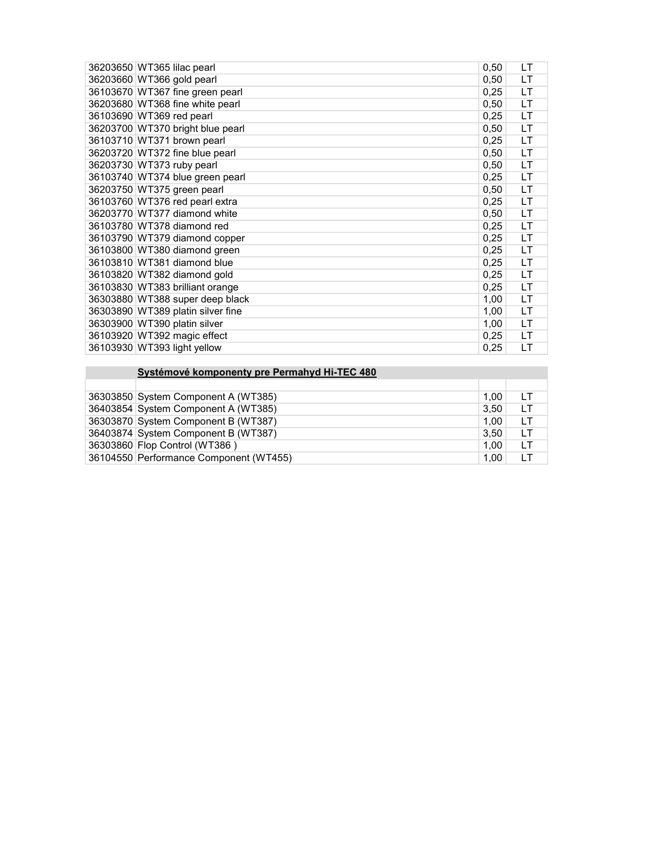| 36203650 WT365 lilac pearl        | 0,50 | LТ  |
|-----------------------------------|------|-----|
| 36203660 WT366 gold pearl         | 0,50 | LT  |
| 36103670 WT367 fine green pearl   | 0,25 | LT. |
| 36203680 WT368 fine white pearl   | 0,50 | LT. |
| 36103690 WT369 red pearl          | 0,25 | LT  |
| 36203700 WT370 bright blue pearl  | 0,50 | LT  |
| 36103710 WT371 brown pearl        | 0,25 | LT  |
| 36203720 WT372 fine blue pearl    | 0,50 | LT  |
| 36203730 WT373 ruby pearl         | 0,50 | LT  |
| 36103740 WT374 blue green pearl   | 0,25 | LT  |
| 36203750 WT375 green pearl        | 0,50 | LT. |
| 36103760 WT376 red pearl extra    | 0,25 | LT  |
| 36203770 WT377 diamond white      | 0,50 | LT. |
| 36103780 WT378 diamond red        | 0,25 | LT  |
| 36103790 WT379 diamond copper     | 0,25 | LT  |
| 36103800 WT380 diamond green      | 0,25 | LT  |
| 36103810 WT381 diamond blue       | 0,25 | LT  |
| 36103820 WT382 diamond gold       | 0,25 | LT  |
| 36103830 WT383 brilliant orange   | 0,25 | LT. |
| 36303880 WT388 super deep black   | 1,00 | LT. |
| 36303890 WT389 platin silver fine | 1,00 | LT  |
| 36303900 WT390 platin silver      | 1,00 | LT  |
| 36103920 WT392 magic effect       | 0,25 | LT  |
| 36103930 WT393 light yellow       | 0,25 | LT  |

| Systémové komponenty pre Permahyd Hi-TEC 480 |      |    |
|----------------------------------------------|------|----|
|                                              |      |    |
| 36303850 System Component A (WT385)          | 1.00 | LT |
| 36403854 System Component A (WT385)          | 3.50 | LТ |
| 36303870 System Component B (WT387)          | 1.00 | LT |
| 36403874 System Component B (WT387)          | 3.50 | LТ |
| 36303860 Flop Control (WT386)                | 1.00 | LT |
| 36104550 Performance Component (WT455)       | 1.00 | LT |